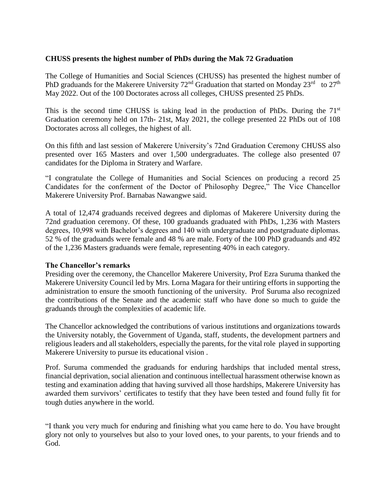## **CHUSS presents the highest number of PhDs during the Mak 72 Graduation**

The College of Humanities and Social Sciences (CHUSS) has presented the highest number of PhD graduands for the Makerere University  $72<sup>nd</sup>$  Graduation that started on Monday  $23<sup>rd</sup>$  to  $27<sup>th</sup>$ May 2022. Out of the 100 Doctorates across all colleges, CHUSS presented 25 PhDs.

This is the second time CHUSS is taking lead in the production of PhDs. During the 71<sup>st</sup> Graduation ceremony held on 17th- 21st, May 2021, the college presented 22 PhDs out of 108 Doctorates across all colleges, the highest of all.

On this fifth and last session of Makerere University's 72nd Graduation Ceremony CHUSS also presented over 165 Masters and over 1,500 undergraduates. The college also presented 07 candidates for the Diploma in Stratery and Warfare.

"I congratulate the College of Humanities and Social Sciences on producing a record 25 Candidates for the conferment of the Doctor of Philosophy Degree," The Vice Chancellor Makerere University Prof. Barnabas Nawangwe said.

A total of 12,474 graduands received degrees and diplomas of Makerere University during the 72nd graduation ceremony. Of these, 100 graduands graduated with PhDs, 1,236 with Masters degrees, 10,998 with Bachelor's degrees and 140 with undergraduate and postgraduate diplomas. 52 % of the graduands were female and 48 % are male. Forty of the 100 PhD graduands and 492 of the 1,236 Masters graduands were female, representing 40% in each category.

## **The Chancellor's remarks**

Presiding over the ceremony, the Chancellor Makerere University, Prof Ezra Suruma thanked the Makerere University Council led by Mrs. Lorna Magara for their untiring efforts in supporting the administration to ensure the smooth functioning of the university. Prof Suruma also recognized the contributions of the Senate and the academic staff who have done so much to guide the graduands through the complexities of academic life.

The Chancellor acknowledged the contributions of various institutions and organizations towards the University notably, the Government of Uganda, staff, students, the development partners and religious leaders and all stakeholders, especially the parents, for the vital role played in supporting Makerere University to pursue its educational vision .

Prof. Suruma commended the graduands for enduring hardships that included mental stress, financial deprivation, social alienation and continuous intellectual harassment otherwise known as testing and examination adding that having survived all those hardships, Makerere University has awarded them survivors' certificates to testify that they have been tested and found fully fit for tough duties anywhere in the world.

"I thank you very much for enduring and finishing what you came here to do. You have brought glory not only to yourselves but also to your loved ones, to your parents, to your friends and to God.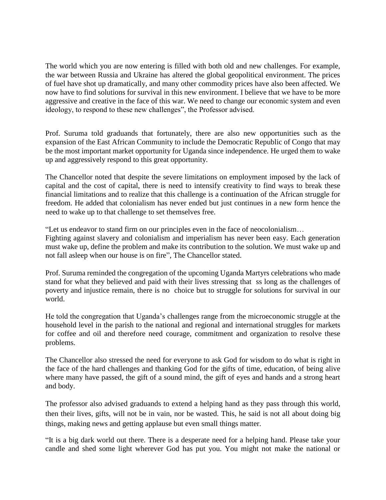The world which you are now entering is filled with both old and new challenges. For example, the war between Russia and Ukraine has altered the global geopolitical environment. The prices of fuel have shot up dramatically, and many other commodity prices have also been affected. We now have to find solutions for survival in this new environment. I believe that we have to be more aggressive and creative in the face of this war. We need to change our economic system and even ideology, to respond to these new challenges", the Professor advised.

Prof. Suruma told graduands that fortunately, there are also new opportunities such as the expansion of the East African Community to include the Democratic Republic of Congo that may be the most important market opportunity for Uganda since independence. He urged them to wake up and aggressively respond to this great opportunity.

The Chancellor noted that despite the severe limitations on employment imposed by the lack of capital and the cost of capital, there is need to intensify creativity to find ways to break these financial limitations and to realize that this challenge is a continuation of the African struggle for freedom. He added that colonialism has never ended but just continues in a new form hence the need to wake up to that challenge to set themselves free.

"Let us endeavor to stand firm on our principles even in the face of neocolonialism… Fighting against slavery and colonialism and imperialism has never been easy. Each generation

must wake up, define the problem and make its contribution to the solution. We must wake up and not fall asleep when our house is on fire", The Chancellor stated.

Prof. Suruma reminded the congregation of the upcoming Uganda Martyrs celebrations who made stand for what they believed and paid with their lives stressing that ss long as the challenges of poverty and injustice remain, there is no choice but to struggle for solutions for survival in our world.

He told the congregation that Uganda's challenges range from the microeconomic struggle at the household level in the parish to the national and regional and international struggles for markets for coffee and oil and therefore need courage, commitment and organization to resolve these problems.

The Chancellor also stressed the need for everyone to ask God for wisdom to do what is right in the face of the hard challenges and thanking God for the gifts of time, education, of being alive where many have passed, the gift of a sound mind, the gift of eyes and hands and a strong heart and body.

The professor also advised graduands to extend a helping hand as they pass through this world, then their lives, gifts, will not be in vain, nor be wasted. This, he said is not all about doing big things, making news and getting applause but even small things matter.

"It is a big dark world out there. There is a desperate need for a helping hand. Please take your candle and shed some light wherever God has put you. You might not make the national or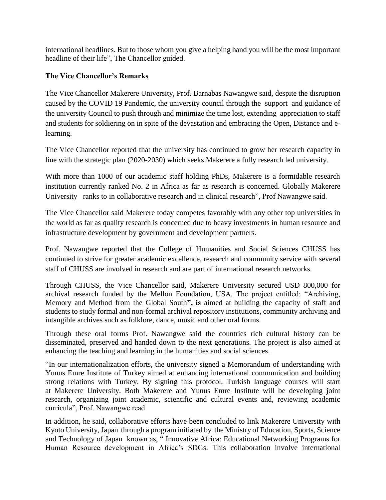international headlines. But to those whom you give a helping hand you will be the most important headline of their life", The Chancellor guided.

## **The Vice Chancellor's Remarks**

The Vice Chancellor Makerere University, Prof. Barnabas Nawangwe said, despite the disruption caused by the COVID 19 Pandemic, the university council through the support and guidance of the university Council to push through and minimize the time lost, extending appreciation to staff and students for soldiering on in spite of the devastation and embracing the Open, Distance and elearning.

The Vice Chancellor reported that the university has continued to grow her research capacity in line with the strategic plan (2020-2030) which seeks Makerere a fully research led university.

With more than 1000 of our academic staff holding PhDs, Makerere is a formidable research institution currently ranked No. 2 in Africa as far as research is concerned. Globally Makerere University ranks to in collaborative research and in clinical research", Prof Nawangwe said.

The Vice Chancellor said Makerere today competes favorably with any other top universities in the world as far as quality research is concerned due to heavy investments in human resource and infrastructure development by government and development partners.

Prof. Nawangwe reported that the College of Humanities and Social Sciences CHUSS has continued to strive for greater academic excellence, research and community service with several staff of CHUSS are involved in research and are part of international research networks.

Through [CHUSS,](http://chuss.mak.ac.ug/) the Vice Chancellor said, Makerere University secured USD 800,000 for archival research funded by the Mellon Foundation, USA. The project entitled: "Archiving, Memory and Method from the Global South**", is** aimed at building the capacity of staff and students to study formal and non-formal archival repository institutions, community archiving and intangible archives such as folklore, dance, music and other oral forms.

Through these oral forms Prof. Nawangwe said the countries rich cultural history can be disseminated, preserved and handed down to the next generations. The project is also aimed at enhancing the teaching and learning in the humanities and social sciences.

"In our internationalization efforts, the university signed a Memorandum of understanding with Yunus Emre Institute of Turkey aimed at enhancing international communication and building strong relations with Turkey. By signing this protocol, Turkish language courses will start at [Makerere University.](http://mak.ac.ug/) Both Makerere and Yunus Emre Institute will be developing joint research, organizing joint academic, scientific and cultural events and, reviewing academic curricula", Prof. Nawangwe read.

In addition, he said, collaborative efforts have been concluded to link [Makerere University](http://mak.ac.ug/) with Kyoto [University,](http://mak.ac.ug/) Japan through a program initiated by the Ministry of Education, Sports, Science and Technology of Japan known as, " Innovative Africa: Educational Networking Programs for Human Resource development in Africa's SDGs. This collaboration involve international